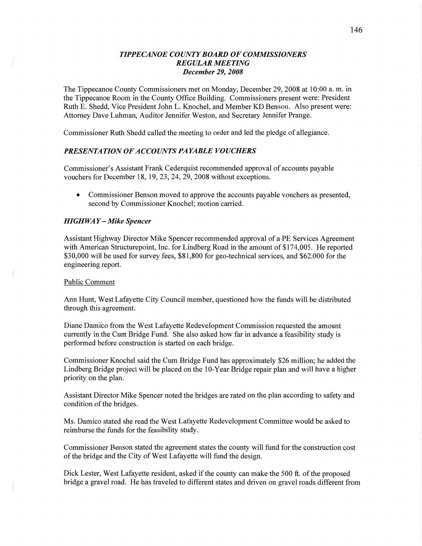# *TIPPECANOE* C0 UN TY *BOARD* OF *COMMISSIONERS REGULAR MEETING December* 29, *2008*

The Tippecanoe County Commissioners met on Monday, December 29, 2008 at 10:00 a. m. in the Tippecanoe Room in the County Office Building. Commissioners present were: President Ruth B. Shedd, Vice President John L. Knochel, and Member KD Benson. Also present were: Attorney Dave Luhman, Auditor Jennifer Weston, and Secretary Jennifer Prange.

Commissioner Ruth Shedd called the meeting to order and led the pledge of allegiance.

### *PRESENTATION* OF *ACCOUNTS* PA *YABLE VOUCHERS*

Commissioner's Assistant Frank Cederquist recommended approval of accounts payable vouchers for December 18, 19, 23, 24, 29, 2008 Without exceptions.

**0** Commissioner Benson moved to approve the accounts payable vouchers as presented, second by Commissioner Knochel; motion carried.

#### *HIGH* WA *Y* **—** *Mike Spencer*

Assistant Highway Director Mike Spencer recommended approval of **a** PE Services Agreement with American Structurepoint, Inc. for Lindberg Road in the amount of \$174,005. He reported \$30,000 will be used for survey fees, \$81,800 for geo-technical services, and \$62,000 for the engineering report.

## Public Comment

Ann Hunt, West Lafayette City Council member, questioned how the funds will be distributed through this agreement.

Diane Damico from the West Lafayette Redevelopment Commission requested the amount currently in the Cum Bridge Fund. She also asked how far in advance a feasibility study is performed before construction is started on each bridge.

Commissioner Knochel said the Cum Bridge Fund has approximately \$26 million; he added the Lindberg Bridge project will be placed on the 10-Year Bridge repair plan and will **have** a higher priority on the plan.

Assistant Director Mike Spencer noted the bridges are rated on the plan according to safety and condition of the bridges.

Ms. Damico stated she read the West Lafayette Redevelopment Committee would be asked to reimburse the **funds** for the feasibility study.

Commissioner Benson stated the agreement states the county will fund for the construction cost of the bridge and the City of West Lafayette will fund the design.

Dick Lester, West Lafayette resident, asked if the county can make the 500 ft. of the proposed bridge a gravel road. He has traveled to different states and driven on gravel roads different from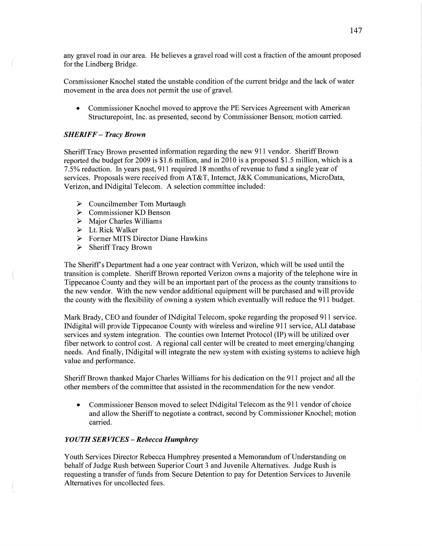any gravel road in our area. He believes a gravel road will cost a fraction of the amount proposed for the Lindberg Bridge.

Commissioner Knochel stated the unstable condition of the current bridge and the lack of water movement in the area does not permit the use of gravel.

**0** Commissioner Knochel moved to approve the PE Services Agreement with American Structurepoint, **Inc.** as presented, second by Commissioner Benson; motion carried.

# *SHERIFF* **—** *Tracy Brown*

Sheriff Tracy Brown presented information regarding the new 911 vendor. Sheriff Brown reported the budget for 2009 is **\$1.6** million, and in 2010 is a proposed \$1.5 million, which is a 7.5% reduction. In years past, 911 required 18 **months** of revenue to **fund** a single year of services. Proposals were received from **AT&T,** Interact, J&K Communications, MicroData, Verizon, and INdigital Telecom. **A** selection committee included:

- $\triangleright$  Councilmember Tom Murtaugh
- Commissioner KD Benson
- $\triangleright$  Major Charles Williams VVVVVV
- $\triangleright$  Lt. Rick Walker
- Former **MITS** Director Diane Hawkins
- $\triangleright$  Sheriff Tracy Brown

The Sheriff's Department had **a** one year contract with Verizon, which will be used until the transition is complete. Sheriff Brown reported Verizon owns a majority of the telephone wire in Tippecanoe County and they will be an important **part** of the process as the county transitions to the new vendor. With the new vendor additional equipment will be purchased and will provide the county with the flexibility of owning **a** system which eventually will reduce the 911 budget.

Mark Brady, CEO and founder of INdigital Telecom, spoke regarding the proposed 911 service. INdigital will provide Tippecanoe County with wireless and wireline 911 service, ALI database services and system integration. The counties own Internet Protocol (IP) will be utilized over fiber network to control cost. **A** regional call center will be created to meet emerging/changing needs. And finally, INdigital will integrate the new system with existing systems to achieve high value and performance.

Sheriff Brown thanked Major Charles Williams for his dedication on the 911 project and all the other members of the committee that assisted in the recommendation for the new vendor.

• Commissioner Benson moved to select INdigital Telecom as the 911 vendor of choice and allow the Sheriff to negotiate **a** contract, second by Commissioner Knochel; motion carried.

## *YOUTH* SER *VICES — Rebecca Humphrey*

Youth Services Director Rebecca Humphrey presented a Memorandum of Understanding on behalf of Judge Rush between Superior Court 3 and Juvenile Alternatives. Judge Rush is requesting a transfer of fimds from Secure Detention to pay for Detention Services to Juvenile Alternatives for uncollected fees.